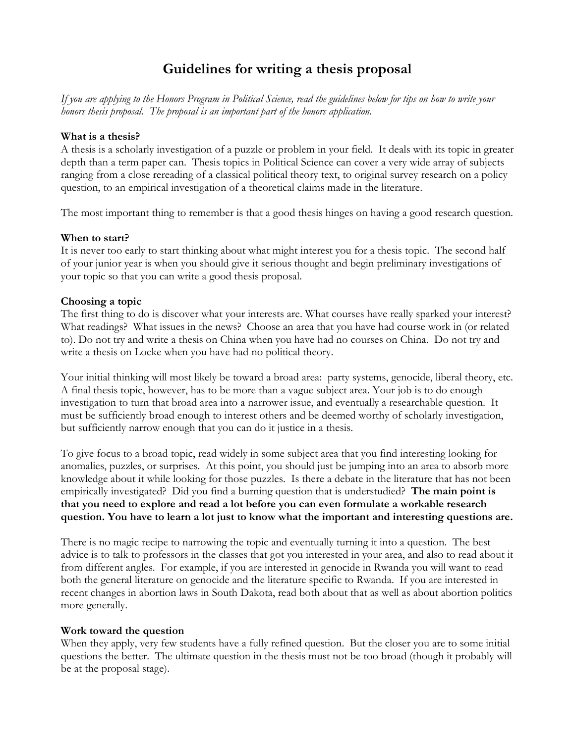# **Guidelines for writing a thesis proposal**

*If you are applying to the Honors Program in Political Science, read the guidelines below for tips on how to write your honors thesis proposal. The proposal is an important part of the honors application.* 

# **What is a thesis?**

A thesis is a scholarly investigation of a puzzle or problem in your field. It deals with its topic in greater depth than a term paper can. Thesis topics in Political Science can cover a very wide array of subjects ranging from a close rereading of a classical political theory text, to original survey research on a policy question, to an empirical investigation of a theoretical claims made in the literature.

The most important thing to remember is that a good thesis hinges on having a good research question.

## **When to start?**

It is never too early to start thinking about what might interest you for a thesis topic. The second half of your junior year is when you should give it serious thought and begin preliminary investigations of your topic so that you can write a good thesis proposal.

## **Choosing a topic**

The first thing to do is discover what your interests are. What courses have really sparked your interest? What readings? What issues in the news? Choose an area that you have had course work in (or related to). Do not try and write a thesis on China when you have had no courses on China. Do not try and write a thesis on Locke when you have had no political theory.

Your initial thinking will most likely be toward a broad area: party systems, genocide, liberal theory, etc. A final thesis topic, however, has to be more than a vague subject area. Your job is to do enough investigation to turn that broad area into a narrower issue, and eventually a researchable question. It must be sufficiently broad enough to interest others and be deemed worthy of scholarly investigation, but sufficiently narrow enough that you can do it justice in a thesis.

To give focus to a broad topic, read widely in some subject area that you find interesting looking for anomalies, puzzles, or surprises. At this point, you should just be jumping into an area to absorb more knowledge about it while looking for those puzzles. Is there a debate in the literature that has not been empirically investigated? Did you find a burning question that is understudied? **The main point is that you need to explore and read a lot before you can even formulate a workable research question. You have to learn a lot just to know what the important and interesting questions are.**

There is no magic recipe to narrowing the topic and eventually turning it into a question. The best advice is to talk to professors in the classes that got you interested in your area, and also to read about it from different angles. For example, if you are interested in genocide in Rwanda you will want to read both the general literature on genocide and the literature specific to Rwanda. If you are interested in recent changes in abortion laws in South Dakota, read both about that as well as about abortion politics more generally.

#### **Work toward the question**

When they apply, very few students have a fully refined question. But the closer you are to some initial questions the better. The ultimate question in the thesis must not be too broad (though it probably will be at the proposal stage).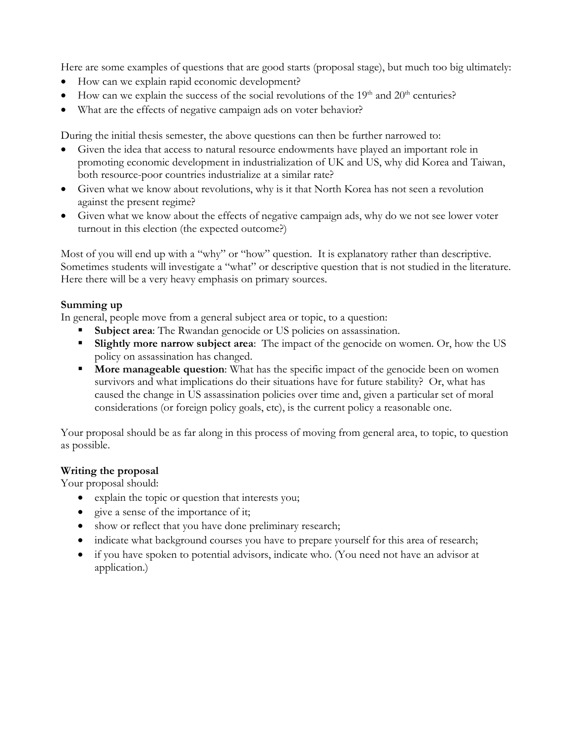Here are some examples of questions that are good starts (proposal stage), but much too big ultimately:

- How can we explain rapid economic development?
- How can we explain the success of the social revolutions of the  $19<sup>th</sup>$  and  $20<sup>th</sup>$  centuries?
- What are the effects of negative campaign ads on voter behavior?

During the initial thesis semester, the above questions can then be further narrowed to:

- Given the idea that access to natural resource endowments have played an important role in promoting economic development in industrialization of UK and US, why did Korea and Taiwan, both resource-poor countries industrialize at a similar rate?
- Given what we know about revolutions, why is it that North Korea has not seen a revolution against the present regime?
- Given what we know about the effects of negative campaign ads, why do we not see lower voter turnout in this election (the expected outcome?)

Most of you will end up with a "why" or "how" question. It is explanatory rather than descriptive. Sometimes students will investigate a "what" or descriptive question that is not studied in the literature. Here there will be a very heavy emphasis on primary sources.

# **Summing up**

In general, people move from a general subject area or topic, to a question:

- **Subject area:** The Rwandan genocide or US policies on assassination.
- **Slightly more narrow subject area:** The impact of the genocide on women. Or, how the US policy on assassination has changed.
- **More manageable question:** What has the specific impact of the genocide been on women survivors and what implications do their situations have for future stability? Or, what has caused the change in US assassination policies over time and, given a particular set of moral considerations (or foreign policy goals, etc), is the current policy a reasonable one.

Your proposal should be as far along in this process of moving from general area, to topic, to question as possible.

# **Writing the proposal**

Your proposal should:

- explain the topic or question that interests you;
- give a sense of the importance of it;
- show or reflect that you have done preliminary research;
- indicate what background courses you have to prepare yourself for this area of research;
- if you have spoken to potential advisors, indicate who. (You need not have an advisor at application.)